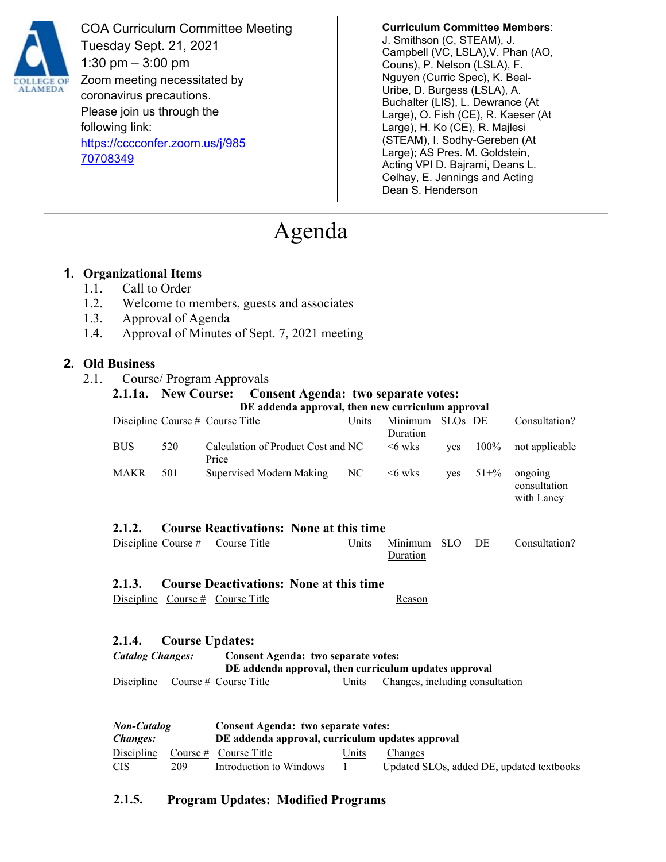

COA Curriculum Committee Meeting Tuesday Sept. 21, 2021 1:30 pm  $-3:00$  pm Zoom meeting necessitated by coronavirus precautions. Please join us through the following link: [https://cccconfer.zoom.us/j/985](https://cccconfer.zoom.us/j/98570708349) [70708349](https://cccconfer.zoom.us/j/98570708349)

**Curriculum Committee Members**:

J. Smithson (C, STEAM), J. Campbell (VC, LSLA),V. Phan (AO, Couns), P. Nelson (LSLA), F. Nguyen (Curric Spec), K. Beal-Uribe, D. Burgess (LSLA), A. Buchalter (LIS), L. Dewrance (At Large), O. Fish (CE), R. Kaeser (At Large), H. Ko (CE), R. Majlesi (STEAM), I. Sodhy-Gereben (At Large); AS Pres. M. Goldstein, Acting VPI D. Bajrami, Deans L. Celhay, E. Jennings and Acting Dean S. Henderson

# Agenda

#### **1. Organizational Items**

- 1.1. Call to Order
- 1.2. Welcome to members, guests and associates
- 1.3. Approval of Agenda
- 1.4. Approval of Minutes of Sept. 7, 2021 meeting

#### **2. Old Business**

2.1. Course/ Program Approvals

## **2.1.1a. New Course: Consent Agenda: two separate votes: DE addenda approval, then new curriculum approval**

|                                                                                                                         |            | Discipline Course # Course Title                                                        | Units | Minimum<br>Duration             | SLO <sub>s</sub> DE |           | Consultation?                             |  |  |  |
|-------------------------------------------------------------------------------------------------------------------------|------------|-----------------------------------------------------------------------------------------|-------|---------------------------------|---------------------|-----------|-------------------------------------------|--|--|--|
| <b>BUS</b>                                                                                                              | 520        | Calculation of Product Cost and NC<br>Price                                             |       | $<6$ wks                        | yes                 | $100\%$   | not applicable                            |  |  |  |
| <b>MAKR</b>                                                                                                             | 501        | Supervised Modern Making                                                                | NC    | $<6$ wks                        | yes                 | $51 + \%$ | ongoing<br>consultation<br>with Laney     |  |  |  |
| <b>Course Reactivations: None at this time</b><br>2.1.2.                                                                |            |                                                                                         |       |                                 |                     |           |                                           |  |  |  |
| Discipline Course $#$                                                                                                   |            | Course Title                                                                            | Units | Minimum<br>Duration             | SLO.                | DE        | Consultation?                             |  |  |  |
| <b>Course Deactivations: None at this time</b><br>2.1.3.                                                                |            |                                                                                         |       |                                 |                     |           |                                           |  |  |  |
|                                                                                                                         |            | Discipline Course $#$ Course Title                                                      |       | Reason                          |                     |           |                                           |  |  |  |
| <b>Course Updates:</b><br>2.1.4.                                                                                        |            |                                                                                         |       |                                 |                     |           |                                           |  |  |  |
| <b>Catalog Changes:</b><br>Consent Agenda: two separate votes:<br>DE addenda approval, then curriculum updates approval |            |                                                                                         |       |                                 |                     |           |                                           |  |  |  |
| Discipline                                                                                                              |            | Course # Course Title                                                                   | Units | Changes, including consultation |                     |           |                                           |  |  |  |
|                                                                                                                         |            |                                                                                         |       |                                 |                     |           |                                           |  |  |  |
| <b>Non-Catalog</b><br><b>Changes:</b>                                                                                   |            | Consent Agenda: two separate votes:<br>DE addenda approval, curriculum updates approval |       |                                 |                     |           |                                           |  |  |  |
| Discipline                                                                                                              | Course $#$ | Course Title                                                                            | Units | Changes                         |                     |           |                                           |  |  |  |
| <b>CIS</b>                                                                                                              | 209        | Introduction to Windows                                                                 |       |                                 |                     |           | Updated SLOs, added DE, updated textbooks |  |  |  |

#### **2.1.5. Program Updates: Modified Programs**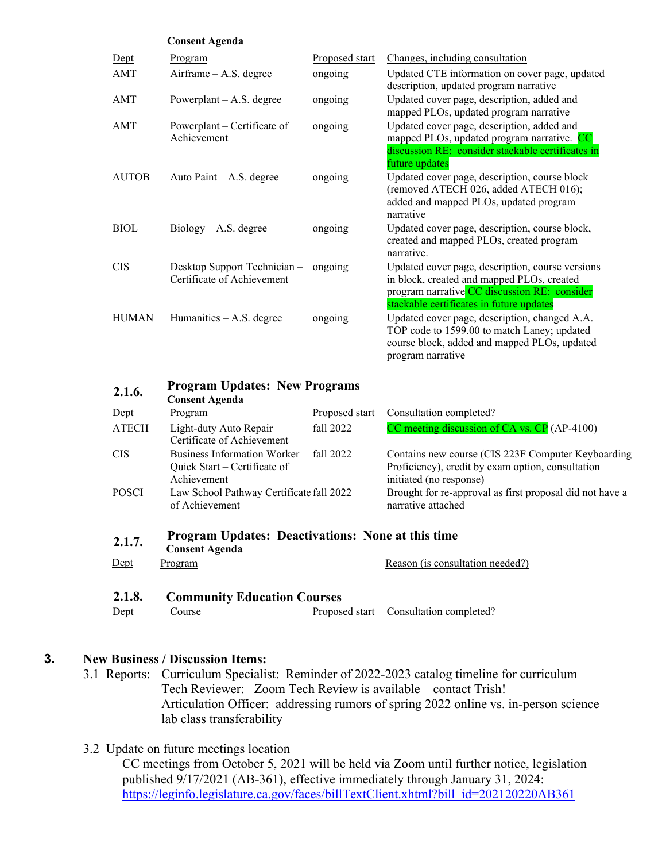|              | <b>Consent Agenda</b>                                                                |                |                                                                                                                                                                                            |  |  |  |  |
|--------------|--------------------------------------------------------------------------------------|----------------|--------------------------------------------------------------------------------------------------------------------------------------------------------------------------------------------|--|--|--|--|
| Dept         | Program                                                                              | Proposed start | Changes, including consultation                                                                                                                                                            |  |  |  |  |
| AMT          | Airframe - A.S. degree                                                               | ongoing        | Updated CTE information on cover page, updated<br>description, updated program narrative                                                                                                   |  |  |  |  |
| AMT          | Powerplant $- A.S.$ degree                                                           | ongoing        | Updated cover page, description, added and<br>mapped PLOs, updated program narrative                                                                                                       |  |  |  |  |
| AMT          | Powerplant – Certificate of<br>Achievement                                           | ongoing        | Updated cover page, description, added and<br>mapped PLOs, updated program narrative. CC<br>discussion RE: consider stackable certificates in<br>future updates                            |  |  |  |  |
| <b>AUTOB</b> | Auto Paint $-$ A.S. degree                                                           | ongoing        | Updated cover page, description, course block<br>(removed ATECH 026, added ATECH 016);<br>added and mapped PLOs, updated program<br>narrative                                              |  |  |  |  |
| <b>BIOL</b>  | $Biology - A.S. degree$                                                              | ongoing        | Updated cover page, description, course block,<br>created and mapped PLOs, created program<br>narrative.                                                                                   |  |  |  |  |
| <b>CIS</b>   | Desktop Support Technician-<br>Certificate of Achievement                            | ongoing        | Updated cover page, description, course versions<br>in block, created and mapped PLOs, created<br>program narrative CC discussion RE: consider<br>stackable certificates in future updates |  |  |  |  |
| <b>HUMAN</b> | Humanities - A.S. degree                                                             | ongoing        | Updated cover page, description, changed A.A.<br>TOP code to 1599.00 to match Laney; updated<br>course block, added and mapped PLOs, updated<br>program narrative                          |  |  |  |  |
| 2.1.6.       | <b>Program Updates: New Programs</b><br><b>Consent Agenda</b>                        |                |                                                                                                                                                                                            |  |  |  |  |
| Dept         | Program                                                                              | Proposed start | Consultation completed?                                                                                                                                                                    |  |  |  |  |
| <b>ATECH</b> | Light-duty Auto Repair -<br>Certificate of Achievement                               | fall 2022      | CC meeting discussion of CA vs. CP (AP-4100)                                                                                                                                               |  |  |  |  |
| <b>CIS</b>   | Business Information Worker-fall 2022<br>Quick Start - Certificate of<br>Achievement |                | Contains new course (CIS 223F Computer Keyboarding<br>Proficiency), credit by exam option, consultation<br>initiated (no response)                                                         |  |  |  |  |
| <b>POSCI</b> | Law School Pathway Certificate fall 2022<br>of Achievement                           |                | Brought for re-approval as first proposal did not have a<br>narrative attached                                                                                                             |  |  |  |  |
| 2.1.7.       | <b>Program Updates: Deactivations: None at this time</b><br><b>Consent Agenda</b>    |                |                                                                                                                                                                                            |  |  |  |  |
| $Depth$      | Program                                                                              |                | Reason (is consultation needed?)                                                                                                                                                           |  |  |  |  |
|              |                                                                                      |                |                                                                                                                                                                                            |  |  |  |  |
| 2.1.8.       | <b>Community Education Courses</b>                                                   |                |                                                                                                                                                                                            |  |  |  |  |
| Dept         | Course                                                                               | Proposed start | Consultation completed?                                                                                                                                                                    |  |  |  |  |

#### **3. New Business / Discussion Items:**

- 3.1 Reports: Curriculum Specialist: Reminder of 2022-2023 catalog timeline for curriculum Tech Reviewer: Zoom Tech Review is available – contact Trish! Articulation Officer: addressing rumors of spring 2022 online vs. in-person science lab class transferability
- 3.2 Update on future meetings location

CC meetings from October 5, 2021 will be held via Zoom until further notice, legislation published 9/17/2021 (AB-361), effective immediately through January 31, 2024: [https://leginfo.legislature.ca.gov/faces/billTextClient.xhtml?bill\\_id=202120220AB361](https://leginfo.legislature.ca.gov/faces/billTextClient.xhtml?bill_id=202120220AB361)